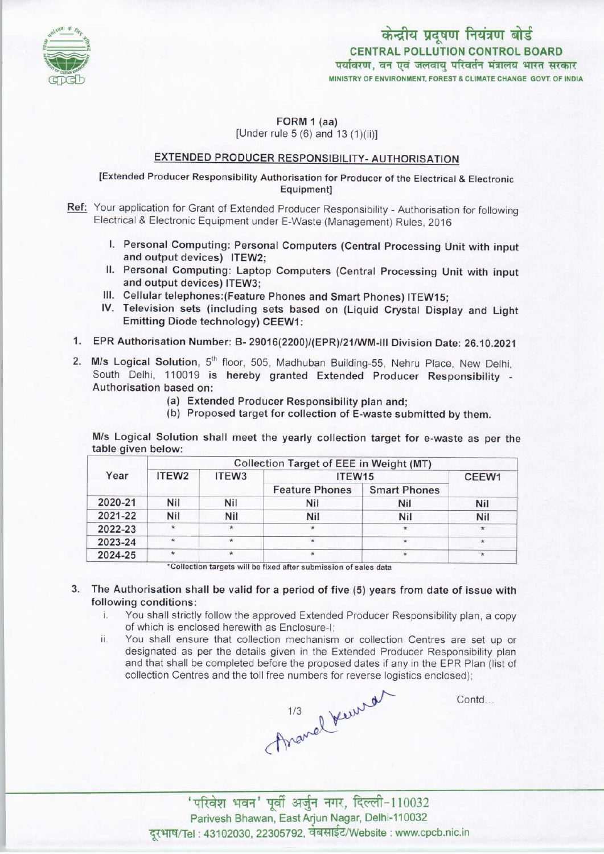

केन्द्रीय प्रदूषण नियंत्रण बोर्ड CENTRAL POLLUTION CONTROL BOARD<br>पर्यावरण. वन एवं जलवाय परिवर्तन मंत्रालय भारत सरकार MINISTRY OF ENVIRONMENT, FOREST & CLIMATE CHANGE GOVT. OF INDIA

FORM 1 (aa) [Under rule 5 (6) and 13 (1)(ii)]

## EXTENDED PRODUCER RESPONSIBILITY-AUTHORISATION

[Extended Producer Responsibility Authorisation for Producer of the Electrical & Electronic Equipment]

- Ref: Your application for Grant of Extended Producer Responsibility Authorisation for following Electrical & Electronic Equipment under E-Waste (Management) Rules, 2016
	- I. Personal Computing: Personal Computers(Central Processing Unit with input and output devices) ITEW2;
	- II. Personal Computing: Laptop Computers (Central Processing Unit with input and output devices) ITEW3;
	- III. Cellular telephones: (Feature Phones and Smart Phones) ITEW15;
	- IV.Television sets (including sets based on (Liquid Crystal Display and Light Emitting Diode technology) CEEW1:
	- 1.EPR Authorisation Number: B- 29016(2200>/(EPR)/21/WM-lll Division Date: 26.10.2021
- 2. M/s Logical Solution, 5<sup>th</sup> floor, 505, Madhuban Building-55, Nehru Place, New Delhi, South Delhi, 110019 is hereby granted Extended Producer Responsibility - Authorisation based on:
	- (a)Extended Producer Responsibility plan and;
	- (b) Proposed target for collection of E-waste submitted by them.

M/s Logical Solution shall meet the yearly collection target for e-waste as per the table given below:

| Year    | <b>Collection Target of EEE in Weight (MT)</b> |                   |                       |                     |            |
|---------|------------------------------------------------|-------------------|-----------------------|---------------------|------------|
|         | ITEW <sub>2</sub>                              | ITEW <sub>3</sub> | ITEW15                |                     | CEEW1      |
|         |                                                |                   | <b>Feature Phones</b> | <b>Smart Phones</b> |            |
| 2020-21 | Nil                                            | Nil               | <b>Nil</b>            | Nil                 | Nil        |
| 2021-22 | Nil                                            | <b>Nil</b>        | Nil                   | Nil                 | <b>Nil</b> |
| 2022-23 | $\star$                                        | $\star$           | $\star$               | *.                  | $\star$    |
| 2023-24 | $\star$                                        | $\star$           |                       |                     |            |
| 2024-25 | $\star$                                        |                   |                       |                     | 女          |

Collection targets will be fixed after submission of sales data

- 3. The Authorisation shall be valid for a period of five (5) years from date of issue with following conditions:
	- i. You shall strictly follow the approved Extended Producer Responsibility plan, <sup>a</sup> copy of which is enclosed herewith as Enclosure-I;
	- ii. You shall ensure that collection mechanism or collection Centres are set up or designated as per the details given in the Extended Producer Responsibility plan and that shall be completed before the proposed dates if any in the EPR Plan (list of

collection Centres and the toll free numbers for reverse logistics enclosed);<br>
1/3<br>
A

Contd...

-<br>परिवेश भवन' पूर्वी अर्जुन नगर, दिल्ली-110032<br>Parivesh Bhawan, East Arjun Nagar, Delhi-110032 दरभाष/Tel: 43102030, 22305792, वेबसाईट/Website : www.cpcb.nic.in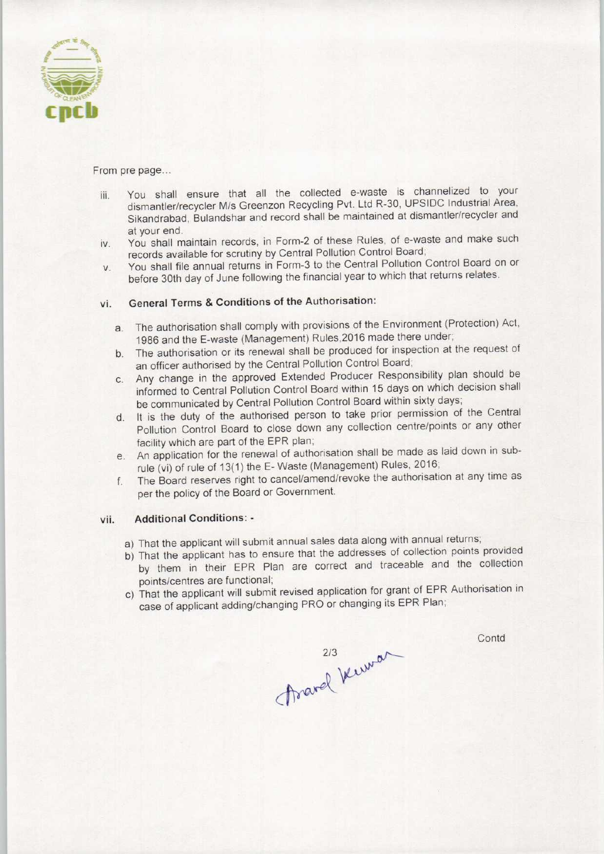

From pre page...

- iii. You shall ensure that all the collected e-waste is channelized to your dismantler/recycler M/s Greenzon Recycling Pvt. Ltd R-30, UPSIDC Industrial Area, Sikandrabad, Bulandshar and record shall be maintained at dismantler/recycler and at your end.
- iv. You shall maintain records, in Form-2 of these Rules, of e-waste and make such records available for scrutiny by Central Pollution Control Board;
- v. You shall file annual returns in Form-3 to the Central Pollution Control Board on or before 30th day of June following the financial year to which that returns relates.

## vi. General Terms & Conditions of the Authorisation:

- a. The authorisation shall comply with provisions of the Environment (Protection) Act, 1986 and the E-waste (Management) Rules,2016 made there under;
- b. The authorisation or its renewal shall be produced for inspection at the request of an officer authorised by the Central Pollution Control Board;
- c.Any change in the approved Extended Producer Responsibility plan should be informed to Central Pollution Control Board within 15 days on which decision shall be communicated by Central Pollution Control Board within sixty days;
- d.It is the duty of the authorised person to take prior permission of the Central Pollution Control Board to close down any collection centre/points or any other facility which are part of the EPR plan;
- e. An application for the renewal of authorisation shall be made as laid down in subrule (vi) of rule of 13(1) the E-Waste (Management) Rules, 2016;
- f. The Board reserves right to cancel/amend/revoke the authorisation at any time as per the policy of the Board or Government.

## vii. Additional Conditions: -

- a) That the applicant will submit annual sales data along with annual returns;
- b)That the applicant has to ensure that the addresses of collection points provided by them in their EPR Plan are correct and traceable and the collection points/centres are functional;
- c) That the applicant will submit revised application for grant of EPR Authorisation in case of applicant adding/changing PRO or changing its EPR Plan;

Frarel Kerran

Contd